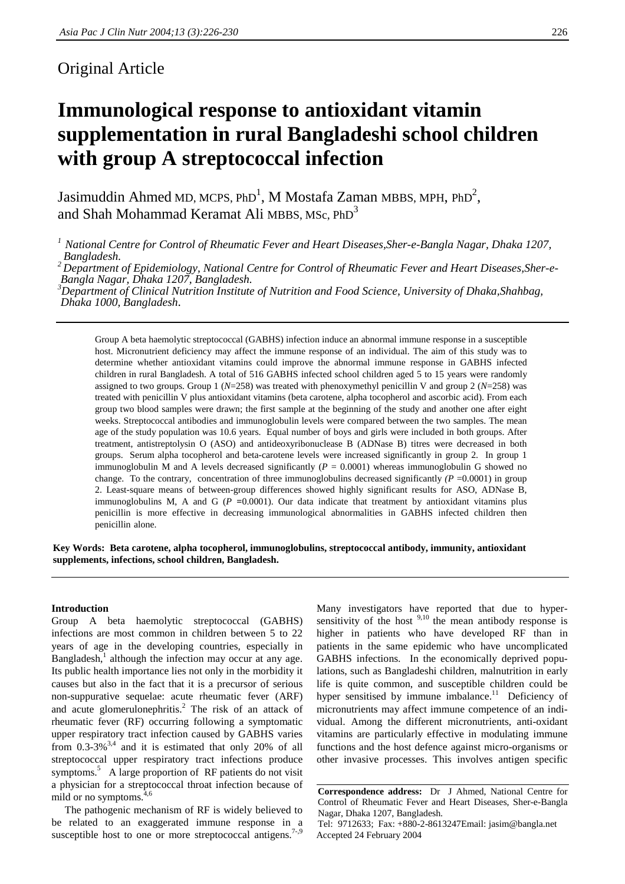# Original Article

# **Immunological response to antioxidant vitamin supplementation in rural Bangladeshi school children with group A streptococcal infection**

Jasimuddin Ahmed MD, MCPS, PhD $^1$ , M Mostafa Zaman MBBS, MPH, PhD $^2$ , and Shah Mohammad Keramat Ali MBBS, MSc,  $PhD<sup>3</sup>$ 

*1 National Centre for Control of Rheumatic Fever and Heart Diseases,Sher-e-Bangla Nagar, Dhaka 1207, Bangladesh.*

*2 Department of Epidemiology, National Centre for Control of Rheumatic Fever and Heart Diseases,Sher-e- Bangla Nagar, Dhaka 1207, Bangladesh.*

*3 Department of Clinical Nutrition Institute of Nutrition and Food Science, University of Dhaka,Shahbag, Dhaka 1000, Bangladesh*.

Group A beta haemolytic streptococcal (GABHS) infection induce an abnormal immune response in a susceptible host. Micronutrient deficiency may affect the immune response of an individual. The aim of this study was to determine whether antioxidant vitamins could improve the abnormal immune response in GABHS infected children in rural Bangladesh. A total of 516 GABHS infected school children aged 5 to 15 years were randomly assigned to two groups. Group 1 (*N*=258) was treated with phenoxymethyl penicillin V and group 2 (*N*=258) was treated with penicillin V plus antioxidant vitamins (beta carotene, alpha tocopherol and ascorbic acid). From each group two blood samples were drawn; the first sample at the beginning of the study and another one after eight weeks. Streptococcal antibodies and immunoglobulin levels were compared between the two samples. The mean age of the study population was 10.6 years. Equal number of boys and girls were included in both groups. After treatment, antistreptolysin O (ASO) and antideoxyribonuclease B (ADNase B) titres were decreased in both groups. Serum alpha tocopherol and beta-carotene levels were increased significantly in group 2. In group 1 immunoglobulin M and A levels decreased significantly  $(P = 0.0001)$  whereas immunoglobulin G showed no change. To the contrary, concentration of three immunoglobulins decreased significantly  $(P = 0.0001)$  in group 2. Least-square means of between-group differences showed highly significant results for ASO, ADNase B, immunoglobulins M, A and G  $(P = 0.0001)$ . Our data indicate that treatment by antioxidant vitamins plus penicillin is more effective in decreasing immunological abnormalities in GABHS infected children then penicillin alone.

**Key Words: Beta carotene, alpha tocopherol, immunoglobulins, streptococcal antibody, immunity, antioxidant supplements, infections, school children, Bangladesh.**

#### **Introduction**

Group A beta haemolytic streptococcal (GABHS) infections are most common in children between 5 to 22 years of age in the developing countries, especially in Bangladesh, $<sup>1</sup>$  although the infection may occur at any age.</sup> Its public health importance lies not only in the morbidity it causes but also in the fact that it is a precursor of serious non-suppurative sequelae: acute rheumatic fever (ARF) and acute glomerulonephritis.<sup>2</sup> The risk of an attack of rheumatic fever (RF) occurring following a symptomatic upper respiratory tract infection caused by GABHS varies from  $0.3-3\%$ <sup>3,4</sup> and it is estimated that only 20% of all streptococcal upper respiratory tract infections produce symptoms.<sup>5</sup> A large proportion of RF patients do not visit a physician for a streptococcal throat infection because of mild or no symptoms.<sup>4,6</sup>

 The pathogenic mechanism of RF is widely believed to be related to an exaggerated immune response in a susceptible host to one or more streptococcal antigens.<sup>7-,9</sup>

Many investigators have reported that due to hypersensitivity of the host  $9,10$  the mean antibody response is higher in patients who have developed RF than in patients in the same epidemic who have uncomplicated GABHS infections. In the economically deprived populations, such as Bangladeshi children, malnutrition in early life is quite common, and susceptible children could be hyper sensitised by immune imbalance. $11$  Deficiency of micronutrients may affect immune competence of an individual. Among the different micronutrients, anti-oxidant vitamins are particularly effective in modulating immune functions and the host defence against micro-organisms or other invasive processes. This involves antigen specific

**Correspondence address:** Dr J Ahmed, National Centre for Control of Rheumatic Fever and Heart Diseases, Sher-e-Bangla Nagar, Dhaka 1207, Bangladesh.

Tel: 9712633; Fax: +880-2-8613247Email: jasim@bangla.net Accepted 24 February 2004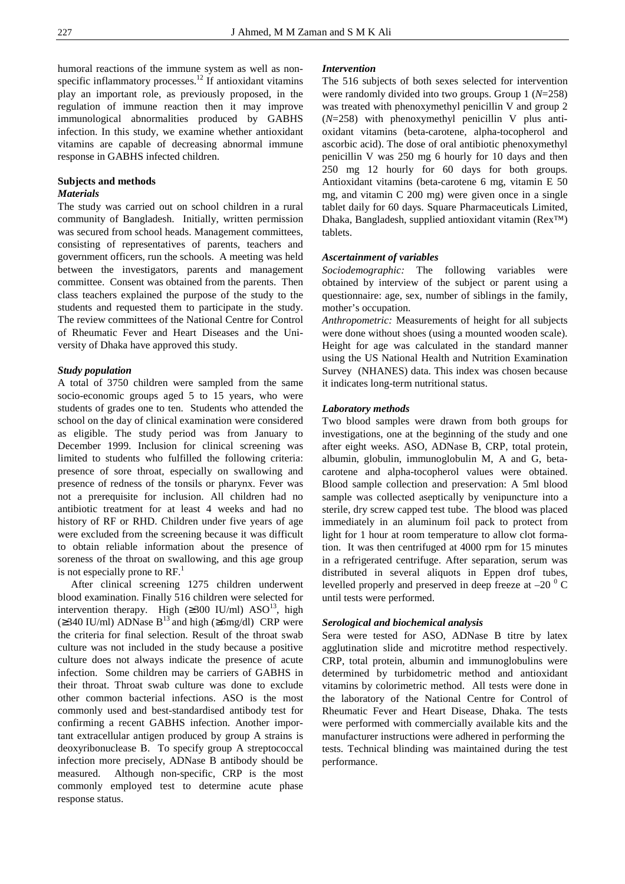humoral reactions of the immune system as well as nonspecific inflammatory processes.<sup>12</sup> If antioxidant vitamins play an important role, as previously proposed, in the regulation of immune reaction then it may improve immunological abnormalities produced by GABHS infection. In this study, we examine whether antioxidant vitamins are capable of decreasing abnormal immune response in GABHS infected children.

# **Subjects and methods** *Materials*

The study was carried out on school children in a rural community of Bangladesh. Initially, written permission was secured from school heads. Management committees, consisting of representatives of parents, teachers and government officers, run the schools. A meeting was held between the investigators, parents and management committee. Consent was obtained from the parents. Then class teachers explained the purpose of the study to the students and requested them to participate in the study. The review committees of the National Centre for Control of Rheumatic Fever and Heart Diseases and the University of Dhaka have approved this study.

# *Study population*

A total of 3750 children were sampled from the same socio-economic groups aged 5 to 15 years, who were students of grades one to ten. Students who attended the school on the day of clinical examination were considered as eligible. The study period was from January to December 1999. Inclusion for clinical screening was limited to students who fulfilled the following criteria: presence of sore throat, especially on swallowing and presence of redness of the tonsils or pharynx. Fever was not a prerequisite for inclusion. All children had no antibiotic treatment for at least 4 weeks and had no history of RF or RHD. Children under five years of age were excluded from the screening because it was difficult to obtain reliable information about the presence of soreness of the throat on swallowing, and this age group is not especially prone to  $RF<sup>1</sup>$ .

 After clinical screening 1275 children underwent blood examination. Finally 516 children were selected for intervention therapy. High  $(\geq 300 \text{ IU/ml})$  ASO<sup>13</sup>, high  $(\geq 340 \text{ IU/ml})$  ADNase B<sup>13</sup> and high ( $\geq 6$ mg/dl) CRP were the criteria for final selection. Result of the throat swab culture was not included in the study because a positive culture does not always indicate the presence of acute infection. Some children may be carriers of GABHS in their throat. Throat swab culture was done to exclude other common bacterial infections. ASO is the most commonly used and best-standardised antibody test for confirming a recent GABHS infection. Another important extracellular antigen produced by group A strains is deoxyribonuclease B. To specify group A streptococcal infection more precisely, ADNase B antibody should be measured. Although non-specific, CRP is the most commonly employed test to determine acute phase response status.

### *Intervention*

The 516 subjects of both sexes selected for intervention were randomly divided into two groups. Group 1 (*N*=258) was treated with phenoxymethyl penicillin V and group 2 (*N*=258) with phenoxymethyl penicillin V plus antioxidant vitamins (beta-carotene, alpha-tocopherol and ascorbic acid). The dose of oral antibiotic phenoxymethyl penicillin V was 250 mg 6 hourly for 10 days and then 250 mg 12 hourly for 60 days for both groups. Antioxidant vitamins (beta-carotene 6 mg, vitamin E 50 mg, and vitamin C 200 mg) were given once in a single tablet daily for 60 days. Square Pharmaceuticals Limited, Dhaka, Bangladesh, supplied antioxidant vitamin (Rex™) tablets.

# *Ascertainment of variables*

*Sociodemographic:* The following variables were obtained by interview of the subject or parent using a questionnaire: age, sex, number of siblings in the family, mother's occupation.

*Anthropometric:* Measurements of height for all subjects were done without shoes (using a mounted wooden scale). Height for age was calculated in the standard manner using the US National Health and Nutrition Examination Survey (NHANES) data. This index was chosen because it indicates long-term nutritional status.

### *Laboratory methods*

Two blood samples were drawn from both groups for investigations, one at the beginning of the study and one after eight weeks. ASO, ADNase B, CRP, total protein, albumin, globulin, immunoglobulin M, A and G, betacarotene and alpha-tocopherol values were obtained. Blood sample collection and preservation: A 5ml blood sample was collected aseptically by venipuncture into a sterile, dry screw capped test tube. The blood was placed immediately in an aluminum foil pack to protect from light for 1 hour at room temperature to allow clot formation. It was then centrifuged at 4000 rpm for 15 minutes in a refrigerated centrifuge. After separation, serum was distributed in several aliquots in Eppen drof tubes, levelled properly and preserved in deep freeze at  $-20<sup>0</sup>$  C until tests were performed.

# *Serological and biochemical analysis*

Sera were tested for ASO, ADNase B titre by latex agglutination slide and microtitre method respectively. CRP, total protein, albumin and immunoglobulins were determined by turbidometric method and antioxidant vitamins by colorimetric method. All tests were done in the laboratory of the National Centre for Control of Rheumatic Fever and Heart Disease, Dhaka. The tests were performed with commercially available kits and the manufacturer instructions were adhered in performing the tests. Technical blinding was maintained during the test performance.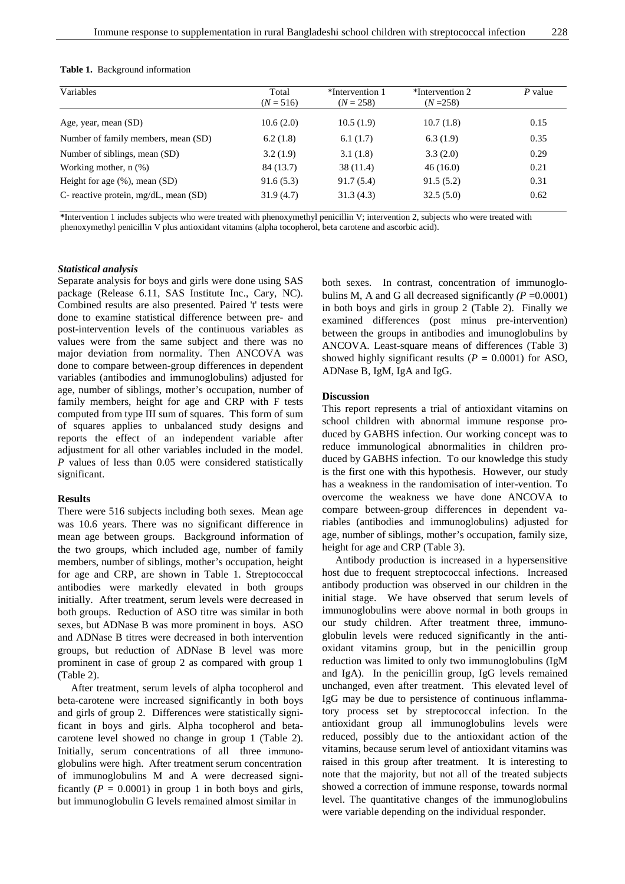| Variables                                | Total<br>$(N = 516)$ | *Intervention 1<br>$(N = 258)$ | *Intervention 2<br>$(N=258)$ | P value |  |
|------------------------------------------|----------------------|--------------------------------|------------------------------|---------|--|
|                                          |                      |                                |                              |         |  |
| Age, year, mean (SD)                     | 10.6(2.0)            | 10.5(1.9)                      | 10.7(1.8)                    | 0.15    |  |
| Number of family members, mean (SD)      | 6.2(1.8)             | 6.1(1.7)                       | 6.3(1.9)                     | 0.35    |  |
| Number of siblings, mean (SD)            | 3.2(1.9)             | 3.1(1.8)                       | 3.3(2.0)                     | 0.29    |  |
| Working mother, $n$ $(\%)$               | 84 (13.7)            | 38 (11.4)                      | 46(16.0)                     | 0.21    |  |
| Height for age $(\% )$ , mean $(SD)$     | 91.6(5.3)            | 91.7(5.4)                      | 91.5(5.2)                    | 0.31    |  |
| C- reactive protein, $mg/dL$ , mean (SD) | 31.9(4.7)            | 31.3(4.3)                      | 32.5(5.0)                    | 0.62    |  |

**\***Intervention 1 includes subjects who were treated with phenoxymethyl penicillin V; intervention 2, subjects who were treated with phenoxymethyl penicillin V plus antioxidant vitamins (alpha tocopherol, beta carotene and ascorbic acid).

### *Statistical analysis*

Separate analysis for boys and girls were done using SAS package (Release 6.11, SAS Institute Inc., Cary, NC). Combined results are also presented. Paired 't' tests were done to examine statistical difference between pre- and post-intervention levels of the continuous variables as values were from the same subject and there was no major deviation from normality. Then ANCOVA was done to compare between-group differences in dependent variables (antibodies and immunoglobulins) adjusted for age, number of siblings, mother's occupation, number of family members, height for age and CRP with F tests computed from type III sum of squares. This form of sum of squares applies to unbalanced study designs and reports the effect of an independent variable after adjustment for all other variables included in the model. *P* values of less than 0.05 were considered statistically significant.

# **Results**

There were 516 subjects including both sexes. Mean age was 10.6 years. There was no significant difference in mean age between groups. Background information of the two groups, which included age, number of family members, number of siblings, mother's occupation, height for age and CRP, are shown in Table 1. Streptococcal antibodies were markedly elevated in both groups initially. After treatment, serum levels were decreased in both groups. Reduction of ASO titre was similar in both sexes, but ADNase B was more prominent in boys. ASO and ADNase B titres were decreased in both intervention groups, but reduction of ADNase B level was more prominent in case of group 2 as compared with group 1 (Table 2).

 After treatment, serum levels of alpha tocopherol and beta-carotene were increased significantly in both boys and girls of group 2. Differences were statistically significant in boys and girls. Alpha tocopherol and betacarotene level showed no change in group 1 (Table 2). Initially, serum concentrations of all three immunoglobulins were high. After treatment serum concentration of immunoglobulins M and A were decreased significantly  $(P = 0.0001)$  in group 1 in both boys and girls, but immunoglobulin G levels remained almost similar in

both sexes. In contrast, concentration of immunoglobulins M, A and G all decreased significantly  $(P = 0.0001)$ in both boys and girls in group 2 (Table 2). Finally we examined differences (post minus pre-intervention) between the groups in antibodies and imunoglobulins by ANCOVA. Least-square means of differences (Table 3) showed highly significant results  $(P = 0.0001)$  for ASO, ADNase B, IgM, IgA and IgG.

#### **Discussion**

This report represents a trial of antioxidant vitamins on school children with abnormal immune response produced by GABHS infection. Our working concept was to reduce immunological abnormalities in children produced by GABHS infection. To our knowledge this study is the first one with this hypothesis. However, our study has a weakness in the randomisation of inter-vention. To overcome the weakness we have done ANCOVA to compare between-group differences in dependent variables (antibodies and immunoglobulins) adjusted for age, number of siblings, mother's occupation, family size, height for age and CRP (Table 3).

 Antibody production is increased in a hypersensitive host due to frequent streptococcal infections. Increased antibody production was observed in our children in the initial stage. We have observed that serum levels of immunoglobulins were above normal in both groups in our study children. After treatment three, immunoglobulin levels were reduced significantly in the antioxidant vitamins group, but in the penicillin group reduction was limited to only two immunoglobulins (IgM and IgA). In the penicillin group, IgG levels remained unchanged, even after treatment. This elevated level of IgG may be due to persistence of continuous inflammatory process set by streptococcal infection. In the antioxidant group all immunoglobulins levels were reduced, possibly due to the antioxidant action of the vitamins, because serum level of antioxidant vitamins was raised in this group after treatment. It is interesting to note that the majority, but not all of the treated subjects showed a correction of immune response, towards normal level. The quantitative changes of the immunoglobulins were variable depending on the individual responder.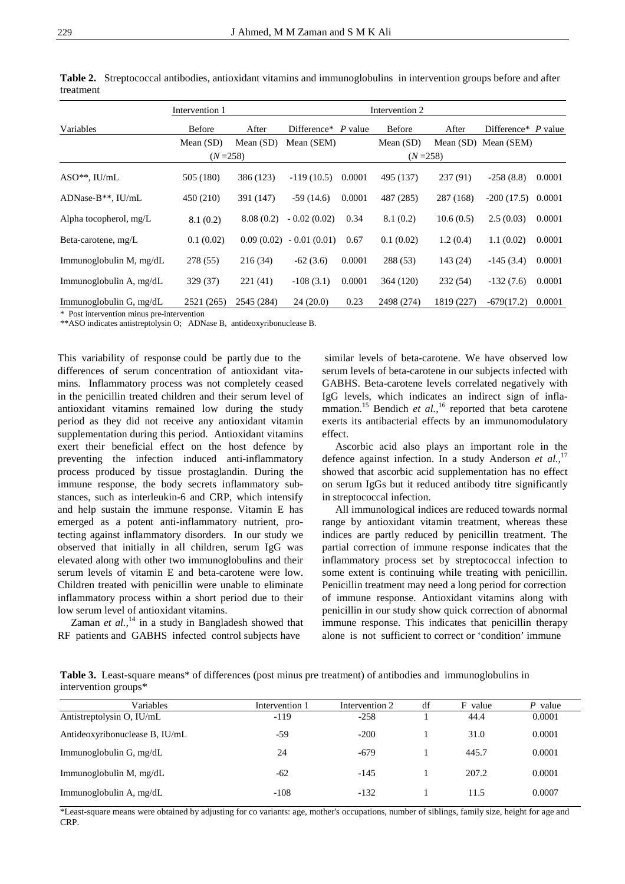|                         | Intervention 1 |             | Intervention 2       |        |               |            |                      |        |
|-------------------------|----------------|-------------|----------------------|--------|---------------|------------|----------------------|--------|
| Variables               | <b>Before</b>  | After       | Difference $P$ value |        | <b>Before</b> | After      | Difference* P value  |        |
|                         | Mean $(SD)$    | Mean $(SD)$ | Mean (SEM)           |        | Mean $(SD)$   |            | Mean (SD) Mean (SEM) |        |
|                         | $(N = 258)$    |             | $(N = 258)$          |        |               |            |                      |        |
| $ASO**$ , IU/mL         | 505 (180)      | 386 (123)   | $-119(10.5)$         | 0.0001 | 495 (137)     | 237(91)    | $-258(8.8)$          | 0.0001 |
| ADNase-B $**$ , IU/mL   | 450 (210)      | 391 (147)   | $-59(14.6)$          | 0.0001 | 487 (285)     | 287 (168)  | $-200(17.5)$         | 0.0001 |
| Alpha tocopherol, mg/L  | 8.1(0.2)       | 8.08(0.2)   | $-0.02(0.02)$        | 0.34   | 8.1(0.2)      | 10.6(0.5)  | 2.5(0.03)            | 0.0001 |
| Beta-carotene, mg/L     | 0.1(0.02)      | 0.09(0.02)  | $-0.01(0.01)$        | 0.67   | 0.1(0.02)     | 1.2(0.4)   | 1.1(0.02)            | 0.0001 |
| Immunoglobulin M, mg/dL | 278 (55)       | 216(34)     | $-62(3.6)$           | 0.0001 | 288 (53)      | 143 (24)   | $-145(3.4)$          | 0.0001 |
| Immunoglobulin A, mg/dL | 329 (37)       | 221(41)     | $-108(3.1)$          | 0.0001 | 364 (120)     | 232(54)    | $-132(7.6)$          | 0.0001 |
| Immunoglobulin G, mg/dL | 2521 (265)     | 2545 (284)  | 24(20.0)             | 0.23   | 2498 (274)    | 1819 (227) | $-679(17.2)$         | 0.0001 |

**Table 2.** Streptococcal antibodies, antioxidant vitamins and immunoglobulins in intervention groups before and after treatment

\* Post intervention minus pre-intervention

\*\*ASO indicates antistreptolysin O; ADNase B, antideoxyribonuclease B.

This variability of response could be partly due to the differences of serum concentration of antioxidant vitamins. Inflammatory process was not completely ceased in the penicillin treated children and their serum level of antioxidant vitamins remained low during the study period as they did not receive any antioxidant vitamin supplementation during this period. Antioxidant vitamins exert their beneficial effect on the host defence by preventing the infection induced anti-inflammatory process produced by tissue prostaglandin. During the immune response, the body secrets inflammatory substances, such as interleukin-6 and CRP, which intensify and help sustain the immune response. Vitamin E has emerged as a potent anti-inflammatory nutrient, protecting against inflammatory disorders. In our study we observed that initially in all children, serum IgG was elevated along with other two immunoglobulins and their serum levels of vitamin E and beta-carotene were low. Children treated with penicillin were unable to eliminate inflammatory process within a short period due to their low serum level of antioxidant vitamins.

Zaman *et al.*,<sup>14</sup> in a study in Bangladesh showed that RF patients and GABHS infected control subjects have

 similar levels of beta-carotene. We have observed low serum levels of beta-carotene in our subjects infected with GABHS. Beta-carotene levels correlated negatively with IgG levels, which indicates an indirect sign of inflammation.<sup>15</sup> Bendich *et al.*,<sup>16</sup> reported that beta carotene exerts its antibacterial effects by an immunomodulatory effect.

 Ascorbic acid also plays an important role in the defence against infection. In a study Anderson *et al.,*<sup>17</sup> showed that ascorbic acid supplementation has no effect on serum IgGs but it reduced antibody titre significantly in streptococcal infection.

 All immunological indices are reduced towards normal range by antioxidant vitamin treatment, whereas these indices are partly reduced by penicillin treatment. The partial correction of immune response indicates that the inflammatory process set by streptococcal infection to some extent is continuing while treating with penicillin. Penicillin treatment may need a long period for correction of immune response. Antioxidant vitamins along with penicillin in our study show quick correction of abnormal immune response. This indicates that penicillin therapy alone is not sufficient to correct or 'condition' immune

**Table 3.** Least-square means\* of differences (post minus pre treatment) of antibodies and immunoglobulins in intervention groups\*

| Variables                      | Intervention 1 | Intervention 2 | df | F value | $P$ value |
|--------------------------------|----------------|----------------|----|---------|-----------|
| Antistreptolysin O, IU/mL      | -119           | $-258$         |    | 44.4    | 0.0001    |
| Antideoxyribonuclease B, IU/mL | $-59$          | $-200$         |    | 31.0    | 0.0001    |
| Immunoglobulin G, mg/dL        | 24             | $-679$         |    | 445.7   | 0.0001    |
| Immunoglobulin M, mg/dL        | $-62$          | $-145$         |    | 207.2   | 0.0001    |
| Immunoglobulin A, mg/dL        | $-108$         | $-132$         |    | 11.5    | 0.0007    |

\*Least-square means were obtained by adjusting for co variants: age, mother's occupations, number of siblings, family size, height for age and CRP.